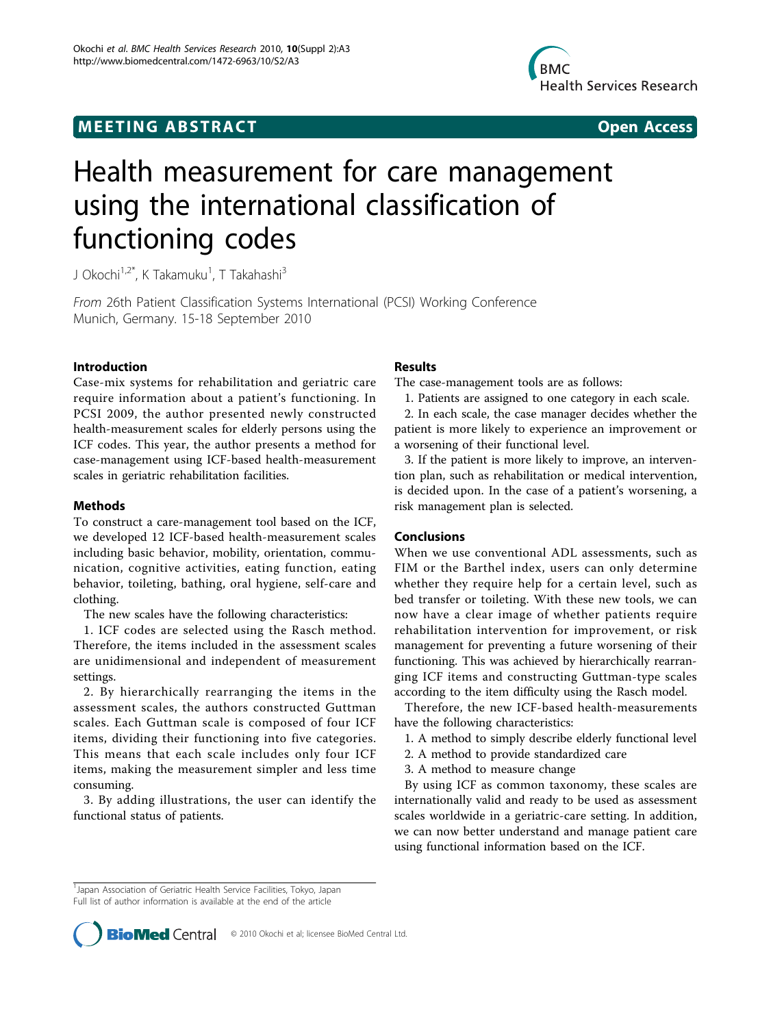## **MEETING ABSTRACT CONTRACT CONTRACT COMMUNISMENT COMMUNISMENT COMMUNISMENT COMMUNISMENT COMMUNISMENT COMMUNISMENT COMMUNISMENT COMMUNISMENT COMMUNISMENT COMMUNISMENT COMMUNISMENT COMMUNISMENT COMMUNISMENT COMMUNISMENT COMM**



# Health measurement for care management using the international classification of functioning codes

J Okochi<sup>1,2\*</sup>, K Takamuku<sup>1</sup>, T Takahashi<sup>3</sup>

From 26th Patient Classification Systems International (PCSI) Working Conference Munich, Germany. 15-18 September 2010

#### Introduction

Case-mix systems for rehabilitation and geriatric care require information about a patient's functioning. In PCSI 2009, the author presented newly constructed health-measurement scales for elderly persons using the ICF codes. This year, the author presents a method for case-management using ICF-based health-measurement scales in geriatric rehabilitation facilities.

#### Methods

To construct a care-management tool based on the ICF, we developed 12 ICF-based health-measurement scales including basic behavior, mobility, orientation, communication, cognitive activities, eating function, eating behavior, toileting, bathing, oral hygiene, self-care and clothing.

The new scales have the following characteristics:

1. ICF codes are selected using the Rasch method. Therefore, the items included in the assessment scales are unidimensional and independent of measurement settings.

2. By hierarchically rearranging the items in the assessment scales, the authors constructed Guttman scales. Each Guttman scale is composed of four ICF items, dividing their functioning into five categories. This means that each scale includes only four ICF items, making the measurement simpler and less time consuming.

3. By adding illustrations, the user can identify the functional status of patients.

#### Results

The case-management tools are as follows:

1. Patients are assigned to one category in each scale.

2. In each scale, the case manager decides whether the patient is more likely to experience an improvement or a worsening of their functional level.

3. If the patient is more likely to improve, an intervention plan, such as rehabilitation or medical intervention, is decided upon. In the case of a patient's worsening, a risk management plan is selected.

### Conclusions

When we use conventional ADL assessments, such as FIM or the Barthel index, users can only determine whether they require help for a certain level, such as bed transfer or toileting. With these new tools, we can now have a clear image of whether patients require rehabilitation intervention for improvement, or risk management for preventing a future worsening of their functioning. This was achieved by hierarchically rearranging ICF items and constructing Guttman-type scales according to the item difficulty using the Rasch model.

Therefore, the new ICF-based health-measurements have the following characteristics:

- 1. A method to simply describe elderly functional level
- 2. A method to provide standardized care
- 3. A method to measure change

By using ICF as common taxonomy, these scales are internationally valid and ready to be used as assessment scales worldwide in a geriatric-care setting. In addition, we can now better understand and manage patient care using functional information based on the ICF.

<sup>&</sup>lt;sup>1</sup>Japan Association of Geriatric Health Service Facilities, Tokyo, Japan Full list of author information is available at the end of the article